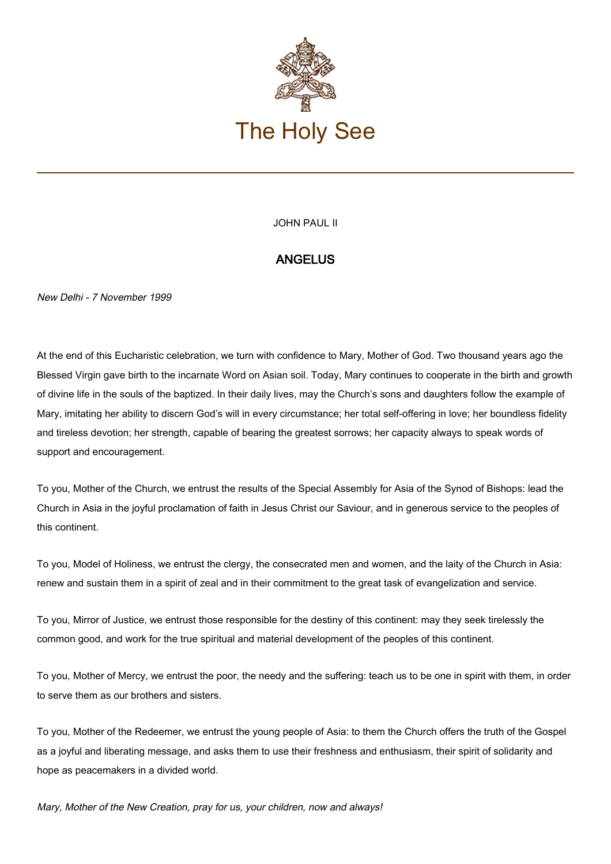

## JOHN PAUL II

## **ANGELUS**

New Delhi - 7 November 1999

At the end of this Eucharistic celebration, we turn with confidence to Mary, Mother of God. Two thousand years ago the Blessed Virgin gave birth to the incarnate Word on Asian soil. Today, Mary continues to cooperate in the birth and growth of divine life in the souls of the baptized. In their daily lives, may the Church's sons and daughters follow the example of Mary, imitating her ability to discern God's will in every circumstance; her total self-offering in love; her boundless fidelity and tireless devotion; her strength, capable of bearing the greatest sorrows; her capacity always to speak words of support and encouragement.

To you, Mother of the Church, we entrust the results of the Special Assembly for Asia of the Synod of Bishops: lead the Church in Asia in the joyful proclamation of faith in Jesus Christ our Saviour, and in generous service to the peoples of this continent.

To you, Model of Holiness, we entrust the clergy, the consecrated men and women, and the laity of the Church in Asia: renew and sustain them in a spirit of zeal and in their commitment to the great task of evangelization and service.

To you, Mirror of Justice, we entrust those responsible for the destiny of this continent: may they seek tirelessly the common good, and work for the true spiritual and material development of the peoples of this continent.

To you, Mother of Mercy, we entrust the poor, the needy and the suffering: teach us to be one in spirit with them, in order to serve them as our brothers and sisters.

To you, Mother of the Redeemer, we entrust the young people of Asia: to them the Church offers the truth of the Gospel as a joyful and liberating message, and asks them to use their freshness and enthusiasm, their spirit of solidarity and hope as peacemakers in a divided world.

Mary, Mother of the New Creation, pray for us, your children, now and always!